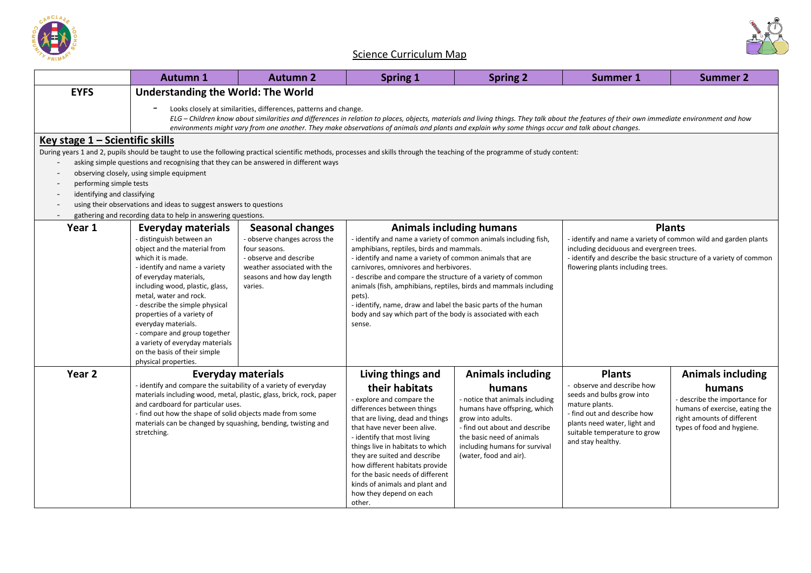



## Science Curriculum Map

|                                                     | <b>Autumn 1</b>                                                                                                                                                                                                                                                                                                                                                                                                     | <b>Autumn 2</b>                                           | <b>Spring 1</b>                                                                                                                                                                                               | <b>Spring 2</b>                                            | <b>Summer 1</b>                                                                                                                                                                  | <b>Summer 2</b>                                              |  |
|-----------------------------------------------------|---------------------------------------------------------------------------------------------------------------------------------------------------------------------------------------------------------------------------------------------------------------------------------------------------------------------------------------------------------------------------------------------------------------------|-----------------------------------------------------------|---------------------------------------------------------------------------------------------------------------------------------------------------------------------------------------------------------------|------------------------------------------------------------|----------------------------------------------------------------------------------------------------------------------------------------------------------------------------------|--------------------------------------------------------------|--|
| <b>EYFS</b>                                         | <b>Understanding the World: The World</b>                                                                                                                                                                                                                                                                                                                                                                           |                                                           |                                                                                                                                                                                                               |                                                            |                                                                                                                                                                                  |                                                              |  |
|                                                     | Looks closely at similarities, differences, patterns and change.<br>ELG - Children know about similarities and differences in relation to places, objects, materials and living things. They talk about the features of their own immediate environment and how<br>environments might vary from one another. They make observations of animals and plants and explain why some things occur and talk about changes. |                                                           |                                                                                                                                                                                                               |                                                            |                                                                                                                                                                                  |                                                              |  |
| Key stage $1 -$ Scientific skills                   |                                                                                                                                                                                                                                                                                                                                                                                                                     |                                                           |                                                                                                                                                                                                               |                                                            |                                                                                                                                                                                  |                                                              |  |
|                                                     |                                                                                                                                                                                                                                                                                                                                                                                                                     |                                                           | During years 1 and 2, pupils should be taught to use the following practical scientific methods, processes and skills through the teaching of the programme of study content:                                 |                                                            |                                                                                                                                                                                  |                                                              |  |
|                                                     | asking simple questions and recognising that they can be answered in different ways                                                                                                                                                                                                                                                                                                                                 |                                                           |                                                                                                                                                                                                               |                                                            |                                                                                                                                                                                  |                                                              |  |
| $\overline{\phantom{a}}$<br>performing simple tests | observing closely, using simple equipment                                                                                                                                                                                                                                                                                                                                                                           |                                                           |                                                                                                                                                                                                               |                                                            |                                                                                                                                                                                  |                                                              |  |
| identifying and classifying                         |                                                                                                                                                                                                                                                                                                                                                                                                                     |                                                           |                                                                                                                                                                                                               |                                                            |                                                                                                                                                                                  |                                                              |  |
|                                                     | using their observations and ideas to suggest answers to questions                                                                                                                                                                                                                                                                                                                                                  |                                                           |                                                                                                                                                                                                               |                                                            |                                                                                                                                                                                  |                                                              |  |
|                                                     | gathering and recording data to help in answering questions.                                                                                                                                                                                                                                                                                                                                                        |                                                           |                                                                                                                                                                                                               |                                                            |                                                                                                                                                                                  |                                                              |  |
| Year 1                                              | Everyday materials                                                                                                                                                                                                                                                                                                                                                                                                  | <b>Seasonal changes</b>                                   |                                                                                                                                                                                                               | <b>Animals including humans</b>                            |                                                                                                                                                                                  | <b>Plants</b>                                                |  |
|                                                     | distinguish between an<br>object and the material from                                                                                                                                                                                                                                                                                                                                                              | - observe changes across the<br>four seasons.             | - identify and name a variety of common animals including fish,<br>amphibians, reptiles, birds and mammals.                                                                                                   |                                                            | - identify and name a variety of common wild and garden plants<br>including deciduous and evergreen trees.<br>- identify and describe the basic structure of a variety of common |                                                              |  |
|                                                     | which it is made.                                                                                                                                                                                                                                                                                                                                                                                                   | - observe and describe                                    | - identify and name a variety of common animals that are                                                                                                                                                      |                                                            |                                                                                                                                                                                  |                                                              |  |
|                                                     | - identify and name a variety<br>of everyday materials,                                                                                                                                                                                                                                                                                                                                                             | weather associated with the<br>seasons and how day length | carnivores, omnivores and herbivores.<br>flowering plants including trees.<br>- describe and compare the structure of a variety of common<br>animals (fish, amphibians, reptiles, birds and mammals including |                                                            |                                                                                                                                                                                  |                                                              |  |
|                                                     | including wood, plastic, glass,                                                                                                                                                                                                                                                                                                                                                                                     | varies.                                                   |                                                                                                                                                                                                               |                                                            |                                                                                                                                                                                  |                                                              |  |
|                                                     | metal, water and rock.                                                                                                                                                                                                                                                                                                                                                                                              |                                                           | pets).                                                                                                                                                                                                        |                                                            |                                                                                                                                                                                  |                                                              |  |
|                                                     | - describe the simple physical<br>properties of a variety of                                                                                                                                                                                                                                                                                                                                                        |                                                           | - identify, name, draw and label the basic parts of the human<br>body and say which part of the body is associated with each                                                                                  |                                                            |                                                                                                                                                                                  |                                                              |  |
|                                                     | everyday materials.                                                                                                                                                                                                                                                                                                                                                                                                 |                                                           | sense.                                                                                                                                                                                                        |                                                            |                                                                                                                                                                                  |                                                              |  |
|                                                     | - compare and group together<br>a variety of everyday materials                                                                                                                                                                                                                                                                                                                                                     |                                                           |                                                                                                                                                                                                               |                                                            |                                                                                                                                                                                  |                                                              |  |
|                                                     | on the basis of their simple                                                                                                                                                                                                                                                                                                                                                                                        |                                                           |                                                                                                                                                                                                               |                                                            |                                                                                                                                                                                  |                                                              |  |
|                                                     | physical properties.                                                                                                                                                                                                                                                                                                                                                                                                |                                                           |                                                                                                                                                                                                               |                                                            |                                                                                                                                                                                  |                                                              |  |
| Year <sub>2</sub>                                   |                                                                                                                                                                                                                                                                                                                                                                                                                     | <b>Everyday materials</b>                                 | Living things and                                                                                                                                                                                             | <b>Animals including</b>                                   | <b>Plants</b>                                                                                                                                                                    | <b>Animals including</b>                                     |  |
|                                                     | - identify and compare the suitability of a variety of everyday<br>materials including wood, metal, plastic, glass, brick, rock, paper<br>and cardboard for particular uses.                                                                                                                                                                                                                                        |                                                           | their habitats                                                                                                                                                                                                | humans                                                     | - observe and describe how<br>humans<br>seeds and bulbs grow into<br>mature plants.                                                                                              |                                                              |  |
|                                                     |                                                                                                                                                                                                                                                                                                                                                                                                                     |                                                           | - explore and compare the                                                                                                                                                                                     | - notice that animals including                            |                                                                                                                                                                                  | - describe the importance for                                |  |
|                                                     | - find out how the shape of solid objects made from some                                                                                                                                                                                                                                                                                                                                                            |                                                           | differences between things<br>that are living, dead and things                                                                                                                                                | humans have offspring, which<br>grow into adults.          | - find out and describe how                                                                                                                                                      | humans of exercise, eating the<br>right amounts of different |  |
|                                                     | materials can be changed by squashing, bending, twisting and<br>stretching.                                                                                                                                                                                                                                                                                                                                         |                                                           | that have never been alive.                                                                                                                                                                                   | - find out about and describe                              | plants need water, light and<br>suitable temperature to grow                                                                                                                     | types of food and hygiene.                                   |  |
|                                                     |                                                                                                                                                                                                                                                                                                                                                                                                                     |                                                           | - identify that most living<br>things live in habitats to which                                                                                                                                               | the basic need of animals<br>including humans for survival | and stay healthy.                                                                                                                                                                |                                                              |  |
|                                                     |                                                                                                                                                                                                                                                                                                                                                                                                                     |                                                           | they are suited and describe                                                                                                                                                                                  | (water, food and air).                                     |                                                                                                                                                                                  |                                                              |  |
|                                                     |                                                                                                                                                                                                                                                                                                                                                                                                                     |                                                           | how different habitats provide                                                                                                                                                                                |                                                            |                                                                                                                                                                                  |                                                              |  |
|                                                     |                                                                                                                                                                                                                                                                                                                                                                                                                     |                                                           | for the basic needs of different<br>kinds of animals and plant and                                                                                                                                            |                                                            |                                                                                                                                                                                  |                                                              |  |
|                                                     |                                                                                                                                                                                                                                                                                                                                                                                                                     |                                                           | how they depend on each                                                                                                                                                                                       |                                                            |                                                                                                                                                                                  |                                                              |  |
|                                                     |                                                                                                                                                                                                                                                                                                                                                                                                                     |                                                           | other.                                                                                                                                                                                                        |                                                            |                                                                                                                                                                                  |                                                              |  |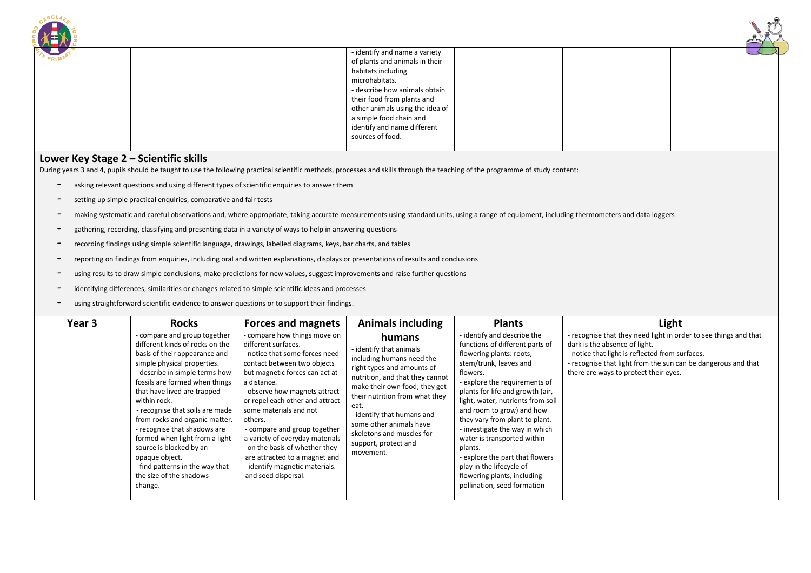| <b>ARCLAS</b> |                                                                                                                                                                                                                                                                                         |  |
|---------------|-----------------------------------------------------------------------------------------------------------------------------------------------------------------------------------------------------------------------------------------------------------------------------------------|--|
| PRIMA         | - identify and name a variety<br>of plants and animals in their<br>habitats including<br>microhabitats.<br>- describe how animals obtain<br>their food from plants and<br>other animals using the idea of<br>a simple food chain and<br>identify and name different<br>sources of food. |  |
|               |                                                                                                                                                                                                                                                                                         |  |

## **Lower Key Stage 2 – Scientific skills**

During years 3 and 4, pupils should be taught to use the following practical scientific methods, processes and skills through the teaching of the programme of study content:

- asking relevant questions and using different types of scientific enquiries to answer them
- setting up simple practical enquiries, comparative and fair tests
- making systematic and careful observations and, where appropriate, taking accurate measurements using standard units, using a range of equipment, including thermometers and data loggers
- gathering, recording, classifying and presenting data in a variety of ways to help in answering questions
- recording findings using simple scientific language, drawings, labelled diagrams, keys, bar charts, and tables
- reporting on findings from enquiries, including oral and written explanations, displays or presentations of results and conclusions
- using results to draw simple conclusions, make predictions for new values, suggest improvements and raise further questions
- identifying differences, similarities or changes related to simple scientific ideas and processes
- using straightforward scientific evidence to answer questions or to support their findings.

| Year 3 | Rocks<br>- compare and group together<br>different kinds of rocks on the<br>basis of their appearance and<br>simple physical properties.<br>- describe in simple terms how<br>fossils are formed when things<br>that have lived are trapped<br>within rock.<br>- recognise that soils are made<br>from rocks and organic matter.<br>- recognise that shadows are<br>formed when light from a light<br>source is blocked by an<br>opaque object.<br>- find patterns in the way that<br>the size of the shadows<br>change. | <b>Forces and magnets</b><br>- compare how things move on<br>different surfaces.<br>- notice that some forces need<br>contact between two objects<br>but magnetic forces can act at<br>a distance.<br>- observe how magnets attract<br>or repel each other and attract<br>some materials and not<br>others.<br>- compare and group together<br>a variety of everyday materials<br>on the basis of whether they<br>are attracted to a magnet and<br>identify magnetic materials.<br>and seed dispersal. | <b>Animals including</b><br>humans<br>- identify that animals<br>including humans need the<br>right types and amounts of<br>nutrition, and that they cannot<br>make their own food; they get<br>their nutrition from what they<br>eat.<br>- identify that humans and<br>some other animals have<br>skeletons and muscles for<br>support, protect and<br>movement. | <b>Plants</b><br>- identify and describe the<br>functions of different parts of<br>flowering plants: roots,<br>stem/trunk, leaves and<br>flowers.<br>- explore the requirements of<br>plants for life and growth (air,<br>light, water, nutrients from soil<br>and room to grow) and how<br>they vary from plant to plant.<br>- investigate the way in which<br>water is transported within<br>plants.<br>- explore the part that flowers<br>play in the lifecycle of<br>flowering plants, including<br>pollination, seed formation | Light<br>- recognise that they need light in order to see things and that<br>dark is the absence of light.<br>- notice that light is reflected from surfaces.<br>- recognise that light from the sun can be dangerous and that<br>there are ways to protect their eyes. |
|--------|--------------------------------------------------------------------------------------------------------------------------------------------------------------------------------------------------------------------------------------------------------------------------------------------------------------------------------------------------------------------------------------------------------------------------------------------------------------------------------------------------------------------------|--------------------------------------------------------------------------------------------------------------------------------------------------------------------------------------------------------------------------------------------------------------------------------------------------------------------------------------------------------------------------------------------------------------------------------------------------------------------------------------------------------|-------------------------------------------------------------------------------------------------------------------------------------------------------------------------------------------------------------------------------------------------------------------------------------------------------------------------------------------------------------------|-------------------------------------------------------------------------------------------------------------------------------------------------------------------------------------------------------------------------------------------------------------------------------------------------------------------------------------------------------------------------------------------------------------------------------------------------------------------------------------------------------------------------------------|-------------------------------------------------------------------------------------------------------------------------------------------------------------------------------------------------------------------------------------------------------------------------|
|--------|--------------------------------------------------------------------------------------------------------------------------------------------------------------------------------------------------------------------------------------------------------------------------------------------------------------------------------------------------------------------------------------------------------------------------------------------------------------------------------------------------------------------------|--------------------------------------------------------------------------------------------------------------------------------------------------------------------------------------------------------------------------------------------------------------------------------------------------------------------------------------------------------------------------------------------------------------------------------------------------------------------------------------------------------|-------------------------------------------------------------------------------------------------------------------------------------------------------------------------------------------------------------------------------------------------------------------------------------------------------------------------------------------------------------------|-------------------------------------------------------------------------------------------------------------------------------------------------------------------------------------------------------------------------------------------------------------------------------------------------------------------------------------------------------------------------------------------------------------------------------------------------------------------------------------------------------------------------------------|-------------------------------------------------------------------------------------------------------------------------------------------------------------------------------------------------------------------------------------------------------------------------|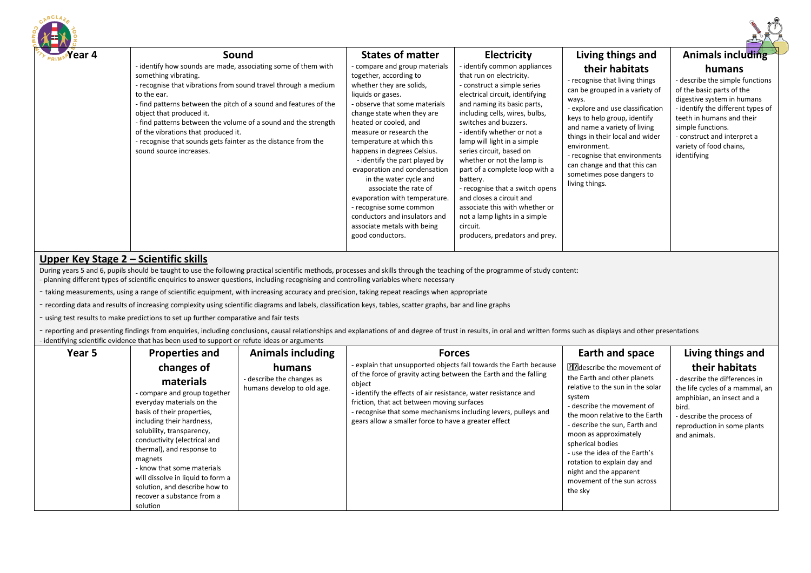| Year 4<br>Sound<br>- identify how sounds are made, associating some of them with<br>something vibrating.<br>- recognise that vibrations from sound travel through a medium<br>to the ear.<br>- find patterns between the pitch of a sound and features of the<br>object that produced it.<br>- find patterns between the volume of a sound and the strength<br>of the vibrations that produced it.<br>- recognise that sounds gets fainter as the distance from the<br>sound source increases. | <b>States of matter</b><br>compare and group materials<br>together, according to<br>whether they are solids,<br>liquids or gases.<br>- observe that some materials<br>change state when they are<br>heated or cooled, and<br>measure or research the<br>temperature at which this<br>happens in degrees Celsius.<br>- identify the part played by<br>evaporation and condensation<br>in the water cycle and<br>associate the rate of<br>evaporation with temperature.<br>- recognise some common<br>conductors and insulators and<br>associate metals with being<br>good conductors. | <b>Electricity</b><br>- identify common appliances<br>that run on electricity.<br>- construct a simple series<br>electrical circuit, identifying<br>and naming its basic parts,<br>including cells, wires, bulbs,<br>switches and buzzers.<br>- identify whether or not a<br>lamp will light in a simple<br>series circuit, based on<br>whether or not the lamp is<br>part of a complete loop with a<br>battery.<br>- recognise that a switch opens<br>and closes a circuit and<br>associate this with whether or<br>not a lamp lights in a simple<br>circuit.<br>producers, predators and prey. | Living things and<br>their habitats<br>- recognise that living things<br>can be grouped in a variety of<br>ways.<br>- explore and use classification<br>keys to help group, identify<br>and name a variety of living<br>things in their local and wider<br>environment.<br>- recognise that environments<br>can change and that this can<br>sometimes pose dangers to<br>living things. | <b>Animals including</b><br>humans<br>- describe the simple functions<br>of the basic parts of the<br>digestive system in humans<br>- identify the different types of<br>teeth in humans and their<br>simple functions.<br>- construct and interpret a<br>variety of food chains,<br>identifying |
|------------------------------------------------------------------------------------------------------------------------------------------------------------------------------------------------------------------------------------------------------------------------------------------------------------------------------------------------------------------------------------------------------------------------------------------------------------------------------------------------|--------------------------------------------------------------------------------------------------------------------------------------------------------------------------------------------------------------------------------------------------------------------------------------------------------------------------------------------------------------------------------------------------------------------------------------------------------------------------------------------------------------------------------------------------------------------------------------|--------------------------------------------------------------------------------------------------------------------------------------------------------------------------------------------------------------------------------------------------------------------------------------------------------------------------------------------------------------------------------------------------------------------------------------------------------------------------------------------------------------------------------------------------------------------------------------------------|-----------------------------------------------------------------------------------------------------------------------------------------------------------------------------------------------------------------------------------------------------------------------------------------------------------------------------------------------------------------------------------------|--------------------------------------------------------------------------------------------------------------------------------------------------------------------------------------------------------------------------------------------------------------------------------------------------|
|------------------------------------------------------------------------------------------------------------------------------------------------------------------------------------------------------------------------------------------------------------------------------------------------------------------------------------------------------------------------------------------------------------------------------------------------------------------------------------------------|--------------------------------------------------------------------------------------------------------------------------------------------------------------------------------------------------------------------------------------------------------------------------------------------------------------------------------------------------------------------------------------------------------------------------------------------------------------------------------------------------------------------------------------------------------------------------------------|--------------------------------------------------------------------------------------------------------------------------------------------------------------------------------------------------------------------------------------------------------------------------------------------------------------------------------------------------------------------------------------------------------------------------------------------------------------------------------------------------------------------------------------------------------------------------------------------------|-----------------------------------------------------------------------------------------------------------------------------------------------------------------------------------------------------------------------------------------------------------------------------------------------------------------------------------------------------------------------------------------|--------------------------------------------------------------------------------------------------------------------------------------------------------------------------------------------------------------------------------------------------------------------------------------------------|

## **Upper Key Stage 2 – Scientific skills**

.ACLAm

During years 5 and 6, pupils should be taught to use the following practical scientific methods, processes and skills through the teaching of the programme of study content:

- planning different types of scientific enquiries to answer questions, including recognising and controlling variables where necessary

- taking measurements, using a range of scientific equipment, with increasing accuracy and precision, taking repeat readings when appropriate

- recording data and results of increasing complexity using scientific diagrams and labels, classification keys, tables, scatter graphs, bar and line graphs

- using test results to make predictions to set up further comparative and fair tests

- reporting and presenting findings from enquiries, including conclusions, causal relationships and explanations of and degree of trust in results, in oral and written forms such as displays and other presentations - identifying scientific evidence that has been used to support or refute ideas or arguments

| Year 5 | <b>Properties and</b>                                                                                                                                                                                                                                                                                                                                                                              | <b>Animals including</b>                                          | <b>Forces</b>                                                                                                                                                                                                                                                                                                                                                                             | Earth and space                                                                                                                                                                                                                                                                                                                                                                                  | Living things and                                                                                                                                                                                     |
|--------|----------------------------------------------------------------------------------------------------------------------------------------------------------------------------------------------------------------------------------------------------------------------------------------------------------------------------------------------------------------------------------------------------|-------------------------------------------------------------------|-------------------------------------------------------------------------------------------------------------------------------------------------------------------------------------------------------------------------------------------------------------------------------------------------------------------------------------------------------------------------------------------|--------------------------------------------------------------------------------------------------------------------------------------------------------------------------------------------------------------------------------------------------------------------------------------------------------------------------------------------------------------------------------------------------|-------------------------------------------------------------------------------------------------------------------------------------------------------------------------------------------------------|
|        | changes of<br>materials<br>- compare and group together<br>everyday materials on the<br>basis of their properties,<br>including their hardness,<br>solubility, transparency,<br>conductivity (electrical and<br>thermal), and response to<br>magnets<br>- know that some materials<br>will dissolve in liquid to form a<br>solution, and describe how to<br>recover a substance from a<br>solution | humans<br>- describe the changes as<br>humans develop to old age. | - explain that unsupported objects fall towards the Earth because<br>of the force of gravity acting between the Earth and the falling<br>object<br>- identify the effects of air resistance, water resistance and<br>friction, that act between moving surfaces<br>- recognise that some mechanisms including levers, pulleys and<br>gears allow a smaller force to have a greater effect | <b>Planescribe the movement of</b><br>the Earth and other planets<br>relative to the sun in the solar<br>system<br>- describe the movement of<br>the moon relative to the Earth<br>- describe the sun, Earth and<br>moon as approximately<br>spherical bodies<br>- use the idea of the Earth's<br>rotation to explain day and<br>night and the apparent<br>movement of the sun across<br>the sky | their habitats<br>- describe the differences in<br>the life cycles of a mammal, an<br>amphibian, an insect and a<br>bird.<br>- describe the process of<br>reproduction in some plants<br>and animals. |